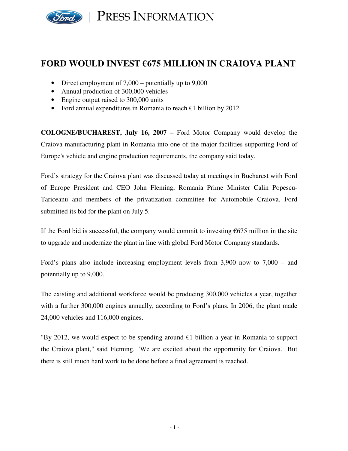

## **FORD WOULD INVEST €675 MILLION IN CRAIOVA PLANT**

- Direct employment of 7,000 potentially up to 9,000
- Annual production of 300,000 vehicles
- Engine output raised to 300,000 units
- Ford annual expenditures in Romania to reach  $\epsilon$ 1 billion by 2012

**COLOGNE/BUCHAREST, July 16, 2007** – Ford Motor Company would develop the Craiova manufacturing plant in Romania into one of the major facilities supporting Ford of Europe's vehicle and engine production requirements, the company said today.

Ford's strategy for the Craiova plant was discussed today at meetings in Bucharest with Ford of Europe President and CEO John Fleming, Romania Prime Minister Calin Popescu-Tariceanu and members of the privatization committee for Automobile Craiova. Ford submitted its bid for the plant on July 5.

If the Ford bid is successful, the company would commit to investing  $\epsilon$ 675 million in the site to upgrade and modernize the plant in line with global Ford Motor Company standards.

Ford's plans also include increasing employment levels from 3,900 now to 7,000 – and potentially up to 9,000.

The existing and additional workforce would be producing 300,000 vehicles a year, together with a further 300,000 engines annually, according to Ford's plans. In 2006, the plant made 24,000 vehicles and 116,000 engines.

"By 2012, we would expect to be spending around  $\epsilon$ 1 billion a year in Romania to support the Craiova plant," said Fleming. "We are excited about the opportunity for Craiova. But there is still much hard work to be done before a final agreement is reached.